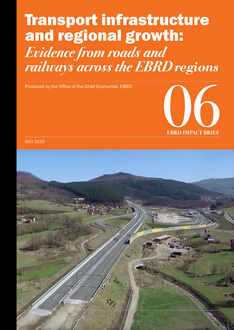# Transport infrastructure and regional growth: *Evidence from roads and railways across the EBRD regions*



MAY 2020

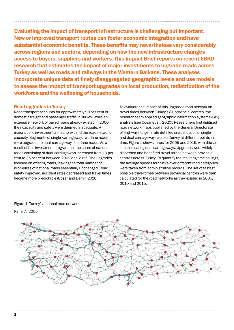Evaluating the impact of transport infrastructure is challenging but important. New or improved transport routes can foster economic integration and have substantial economic benefits. These benefits may nevertheless vary considerably across regions and sectors, depending on how the new infrastructure changes access to buyers, suppliers and workers. This Impact Brief reports on recent EBRD research that estimates the impact of major investments to upgrade roads across Turkey as well as roads and railways in the Western Balkans. These analyses incorporate unique data at finely disaggregated geographic levels and use models to assess the impact of transport upgrades on local production, redistribution of the workforce and the wellbeing of households.

# Road upgrades in Turkey

Road transport accounts for approximately 90 per cent of domestic freight and passenger traffic in Turkey. While an extensive network of paved roads already existed in 2000, their capacity and safety were deemed inadequate. A major public investment aimed to expand the road network capacity. Segments of single-carriageway, two-lane roads were upgraded to dual-carriageway, four-lane roads. As a result of this investment programme, the share of national roads consisting of dual-carriageways increased from 10 per cent to 35 per cent between 2002 and 2015. The upgrades focused on existing roads, leaving the total number of kilometres of national roads essentially unchanged. Road safety improved, accident rates decreased and travel times became more predictable (Coşar and Demir, 2016).

To evaluate the impact of this upgraded road network on travel times between Turkey's 81 provincial centres, the research team applied geographic information systems (GIS) analysis (see Coşar et al., 2020). Researchers first digitised road network maps published by the General Directorate of Highways to generate detailed snapshots of all single and dual carriageways across Turkey at different points in time. Figure 1 shows maps for 2005 and 2015, with thicker lines indicating dual carriageways. Upgrades were widely dispersed and benefited travel routes between provincial centres across Turkey. To quantify the resulting time savings, the average speeds for trucks over different road categories were taken from administrative records. The set of fastest possible travel times between provincial centres were then calculated for the road networks as they existed in 2005, 2010 and 2015.



Figure 1. Turkey's national road networks Panel A. 2005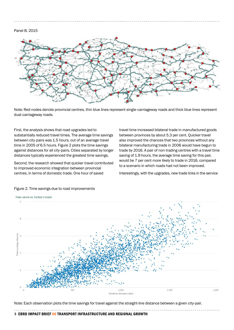#### Panel B. 2015



Note: Red nodes denote provincial centres, thin blue lines represent single-carriageway roads and thick blue lines represent dual-carriageway roads.

First, the analysis shows that road upgrades led to substantially reduced travel times. The average time savings between city-pairs was 1.5 hours, out of an average travel time in 2005 of 6.5 hours. Figure 2 plots the time savings against distances for all city-pairs. Cities separated by longer distances typically experienced the greatest time savings.

Second, the research showed that quicker travel contributed to improved economic integration between provincial centres, in terms of domestic trade. One hour of saved

travel time increased bilateral trade in manufactured goods between provinces by about 5.3 per cent. Quicker travel also improved the chances that two provinces without any bilateral manufacturing trade in 2006 would have begun to trade by 2016. A pair of non-trading centres with a travel time saving of 1.9 hours, the average time saving for this pair, would be 7 per cent more likely to trade in 2016, compared to a scenario in which roads had not been improved.

Interestingly, with the upgrades, new trade links in the service



#### Figure 2. Time savings due to road improvements

Note: Each observation plots the time savings for travel against the straight-line distance between a given city-pair.

#### **3** EBRD IMPACT BRIEF 06 TRANSPORT INFRASTRUCTURE AND REGIONAL GROWTH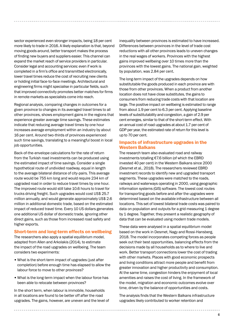sector experienced even stronger impacts, being 18 per cent more likely to trade in 2016. A likely explanation is that, beyond moving goods around, better transport makes the process of finding new buyers and suppliers easier. This channel can expand the market reach of service providers in particular. Consider legal and accounting services: even if work is completed in a firm's office and transmitted electronically, lower travel times reduce the cost of recruiting new clients or holding initial face-to-face meetings. Architectural and engineering firms might specialise in particular fields, such that improved connectivity promotes better matches for firms in remote markets as specialists come into reach.

Regional analysis, comparing changes in outcomes for a given province to changes in its averaged travel times to all other provinces, shows employment gains in the regions that experience greater average time savings. These estimates indicate that reducing average travel times by one hour increases average employment within an industry by about 16 per cent. Around two-thirds of provinces experienced such time savings, translating to a meaningful boost in local job opportunities.

Back-of-the-envelope calculations for the rate of return from the Turkish road investments can be produced using the estimated impact of time savings. Consider a single hypothetical route of undivided roadway, equal in length to the average bilateral distance of city-pairs. This average route would be 755 km long and would require 234 km of upgraded road in order to reduce travel times by one hour. The improved route would still take 10.6 hours to travel for trucks driving freight. Such upgrades would cost US\$ 25.7 million annually, and would generate approximately US\$ 2.6 million in additional domestic trade, based on the estimated impact of reduced travel time. Every 10 US dollars generates one additional US dollar of domestic trade, ignoring other direct gains, such as those from increased road safety and higher exports.

#### Short-term and long-term effects on wellbeing

The researchers also apply a spatial equilibrium model, adapted from Allen and Arkolakis (2014), to estimate the impact of the road upgrades on wellbeing. The team considers two experiments:

- What is the short-term impact of upgrades (just after completion) before enough time has elapsed to allow the labour force to move to other provinces?
- What is the long-term impact when the labour force has been able to relocate between provinces?

In the short term, when labour is immobile, households in all locations are found to be better off after the road upgrades. The gains, however, are uneven and the level of inequality between provinces is estimated to have increased. Differences between provinces in the level of trade cost reductions with all other provinces leads to uneven changes in the real wages of workers. Provinces with the highest gains improved wellbeing over 10 times more than the provinces with the lowest gains. The national gain, weighted by population, was 2.84 per cent.

The long-term impact of the upgrades depends on how substitutable the goods produced in each province are with those from other provinces. When a product from another location does not have close substitutes, the gains to consumers from reducing trade costs with that location are large. The positive impact on wellbeing is estimated to range from about 1.9 per cent to 6.3 per cent. Applying baseline levels of substitutability and congestion, a gain of 2.9 per cent emerges, similar to that of the short-term effect. With an annual cost of road upgrades at about 1.7 per cent of GDP per year, the estimated rate of return for this level is up to 70 per cent.

### Impacts of infrastructure upgrades in the Western Balkans

The research team also evaluated road and railway investments totalling €7.6 billion (of which the EBRD invested 40 per cent) in the Western Balkans since 2000 (Desmet et al., 2018). The researchers reviewed EBRD investment records to identify new and upgraded transport segments. These upgrades were matched to the roads, railways and waterways operating in 2000, using geographic information systems (GIS) software. The lowest cost routes for transporting goods before and after the upgrades were determined based on the available infrastructure between all locations. This set of lowest bilateral trade costs was paired to data on population and outputs for a grid measuring 1 degree by 1 degree. Together, they present a realistic geography of data that can be evaluated using modern trade models.

These data were analysed in a spatial equilibrium model based on the work in Desmet, Nagy and Rossi-Hansberg, 2018. The model incorporates competing forces as people seek out their best opportunities, balancing effects from the decisions made by all households as to where to live and work. Better transport connections lower the cost of trading with other markets. Places with good economic prospects and living conditions attract more people and benefit from greater innovation and higher productivity and consumption. At the same time, congestion hinders the enjoyment of local amenities and raises the cost of living. In the framework of the model, migration and economic outcomes evolve over time, driven by the balance of opportunities and costs.

The analysis finds that the Western Balkans infrastructure upgrades likely contributed to worker retention and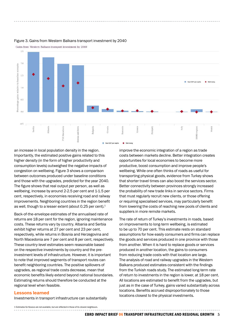

#### Figure 3. Gains from Western Balkans transport investment by 2040

an increase in local population density in the region. Importantly, the estimated positive gains related to this higher density (in the form of higher productivity and consumption levels) outweighed the negative impacts of congestion on wellbeing. Figure 3 shows a comparison between outcomes produced under baseline conditions and those with the upgrades, predicted for the year 2040. The figure shows that real output per person, as well as wellbeing, increase by around 2-2.5 per cent and 1-1.5 per cent, respectively, in economies receiving road and railway improvements. Neighboring countries in the region benefit as well, though to a lesser extent (about 0.25 per cent).<sup>1</sup>

Back-of-the-envelope estimates of the annualised rate of returns are 18 per cent for the region, ignoring maintenance costs. These returns vary by country. Albania and Serbia exhibit higher returns at 27 per cent and 23 per cent, respectively, while returns in Bosnia and Herzegovina and North Macedonia are 7 per cent and 8 per cent, respectively. These country-level estimates seem reasonable based on the respective investments by country and the preinvestment levels of infrastructure. However, it is important to note that improved segments of transport routes can benefit neighboring countries. The positive spillovers of upgrades, as regional trade costs decrease, mean that economic benefits likely extend beyond national boundaries. Estimating returns should therefore be conducted at the regional level when feasible.

#### Lessons learned

Investments in transport infrastructure can substantially

improve the economic integration of a region as trade costs between markets decline. Better integration creates opportunities for local economies to become more productive, boost consumption and improve people's wellbeing. While one often thinks of roads as useful for transporting physical goods, evidence from Turkey shows that shorter travel times can also boost the services sector. Better connectivity between provinces strongly increased the probability of new trade links in service sectors. Firms that must regularly recruit new clients, or those offering or requiring specialised services, may particularly benefit from lowering the costs of reaching new pools of clients and suppliers in more remote markets.

The rate of return of Turkey's investments in roads, based on improvements to long-term wellbeing, is estimated to be up to 70 per cent. This estimate rests on standard assumptions for how easily consumers and firms can replace the goods and services produced in one province with those from another. When it is hard to replace goods or services produced in another location, the gains to consumers from reducing trade costs with that location are large. The analysis of road and railway upgrades in the Western Balkans produced estimates consistent with the findings from the Turkish roads study. The estimated long-term rate of return to investments in the region is lower, at 18 per cent. All locations are estimated to benefit from the upgrades, but just as in the case of Turkey, gains varied substantially across locations. Benefits accrued disproportionately to those locations closest to the physical investments.

1 Estimates for Kosovo are not available, but are reflected in those of its closest neighbours.